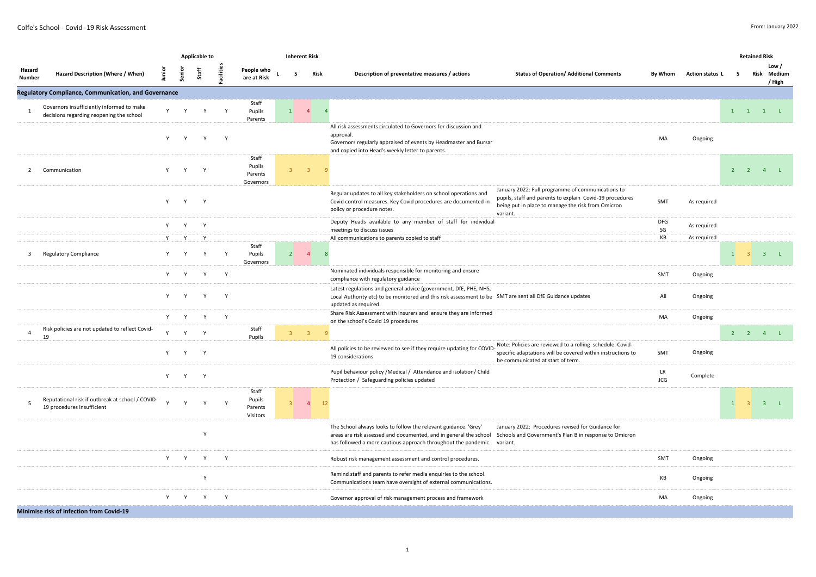|                         |                                                                                       |        |              | Applicable to |              |                                         |                 | <b>Inherent Risk</b> |                                                                                                                                                                                                                                                                                                                                                            |                 |              | <b>Retained Risk</b> |                                                                                     |
|-------------------------|---------------------------------------------------------------------------------------|--------|--------------|---------------|--------------|-----------------------------------------|-----------------|----------------------|------------------------------------------------------------------------------------------------------------------------------------------------------------------------------------------------------------------------------------------------------------------------------------------------------------------------------------------------------------|-----------------|--------------|----------------------|-------------------------------------------------------------------------------------|
| Hazard<br><b>Number</b> | Hazard Description (Where / When)                                                     | junior | Senior       | Staff         | Facilities   | People who<br>are at Risk               | $\mathbf{s}$    | Risk                 | Description of preventative measures / actions<br><b>Status of Operation/ Additional Comments</b><br>By Whom                                                                                                                                                                                                                                               | Action status L | s.           |                      | Low /<br>Risk Medium<br>/ High                                                      |
|                         | Regulatory Compliance, Communication, and Governance                                  |        |              |               |              |                                         |                 |                      |                                                                                                                                                                                                                                                                                                                                                            |                 |              |                      |                                                                                     |
|                         | Governors insufficiently informed to make<br>decisions regarding reopening the school | Y      | Y            | Y             | Y            | Staff<br>Pupils<br>Parents              | $\vert 1 \vert$ | $\overline{4}$       |                                                                                                                                                                                                                                                                                                                                                            |                 |              |                      | $\begin{matrix} 1 & 1 & 1 \end{matrix} \quad \begin{matrix} 1 & 1 & 1 \end{matrix}$ |
|                         |                                                                                       | Y      | Y            | Y             | Y            |                                         |                 |                      | All risk assessments circulated to Governors for discussion and<br>approval.<br>MA<br>Governors regularly appraised of events by Headmaster and Bursar<br>and copied into Head's weekly letter to parents.                                                                                                                                                 | Ongoing         |              |                      |                                                                                     |
| $\overline{2}$          | Communication                                                                         | Y -    | Y            | Y             |              | Staff<br>Pupils<br>Parents<br>Governors |                 | $3^{\circ}$ 3        |                                                                                                                                                                                                                                                                                                                                                            |                 |              |                      | $2 \qquad 2 \qquad 4 \qquad L$                                                      |
|                         |                                                                                       | Y      | Y            | Y             |              |                                         |                 |                      | January 2022: Full programme of communications to<br>Regular updates to all key stakeholders on school operations and<br>pupils, staff and parents to explain Covid-19 procedures<br>SMT<br>Covid control measures. Key Covid procedures are documented in<br>being put in place to manage the risk from Omicron<br>policy or procedure notes.<br>variant. | As required     |              |                      |                                                                                     |
|                         |                                                                                       | Y      | Y            | Y             |              |                                         |                 |                      | Deputy Heads available to any member of staff for individual<br><b>DFG</b><br>SG<br>meetings to discuss issues                                                                                                                                                                                                                                             | As required     |              |                      |                                                                                     |
|                         |                                                                                       | Y      | Y            | $\mathsf{v}$  |              |                                         |                 |                      | КB<br>All communications to parents copied to staff                                                                                                                                                                                                                                                                                                        | As required     |              |                      |                                                                                     |
| 3                       | <b>Regulatory Compliance</b>                                                          | Y      | Y            | Y             | Y            | Staff<br>Pupils<br>Governors            | $\overline{2}$  | $\overline{4}$       |                                                                                                                                                                                                                                                                                                                                                            |                 | $\mathbf{1}$ | $\overline{3}$       | $3 \quad L$                                                                         |
|                         |                                                                                       | Y      | <b>Y</b>     | Y             | Y            |                                         |                 |                      | Nominated individuals responsible for monitoring and ensure<br>SMT<br>compliance with regulatory guidance                                                                                                                                                                                                                                                  | Ongoing         |              |                      |                                                                                     |
|                         |                                                                                       | Y      | $\mathbf{v}$ | Y             | Y            |                                         |                 |                      | Latest regulations and general advice (government, DfE, PHE, NHS,<br>Local Authority etc) to be monitored and this risk assessment to be SMT are sent all DfE Guidance updates<br>All<br>updated as required.                                                                                                                                              | Ongoing         |              |                      |                                                                                     |
|                         |                                                                                       |        |              | Y             | Y            |                                         |                 |                      | Share Risk Assessment with insurers and ensure they are informed<br>MA<br>on the school's Covid 19 procedures                                                                                                                                                                                                                                              | Ongoing         |              |                      |                                                                                     |
|                         | Risk policies are not updated to reflect Covid-<br>19                                 | Y      | $\mathbf{v}$ | Y             |              | Staff<br>Pupils                         |                 | $3^{\circ}$ 3        |                                                                                                                                                                                                                                                                                                                                                            |                 |              |                      | $2 \qquad 2 \qquad 4 \qquad L$                                                      |
|                         |                                                                                       | Y      | Y            | Y             |              |                                         |                 |                      | Note: Policies are reviewed to a rolling schedule. Covid-<br>All policies to be reviewed to see if they require updating for COVID-<br>specific adaptations will be covered within instructions to<br>SMT<br>19 considerations<br>be communicated at start of term.                                                                                        | Ongoing         |              |                      |                                                                                     |
|                         |                                                                                       | Y      | Y            | Y             |              |                                         |                 |                      | Pupil behaviour policy / Medical / Attendance and isolation/ Child<br>LR<br>JCG<br>Protection / Safeguarding policies updated                                                                                                                                                                                                                              | Complete        |              |                      |                                                                                     |
| 5                       | Reputational risk if outbreak at school / COVID-<br>19 procedures insufficient        |        | $\mathbf{v}$ | $\mathbf{v}$  |              | Staff<br>Pupils<br>Parents<br>Visitors  | $\overline{3}$  | $\overline{4}$       |                                                                                                                                                                                                                                                                                                                                                            |                 | $\vert$ 1    |                      | $\overline{\mathbf{3}}$<br>$\mathbf{L}$                                             |
|                         |                                                                                       |        |              | $\mathsf{Y}$  |              |                                         |                 |                      | The School always looks to follow the relevant guidance. 'Grey'<br>January 2022: Procedures revised for Guidance for<br>areas are risk assessed and documented, and in general the school<br>Schools and Government's Plan B in response to Omicron<br>has followed a more cautious approach throughout the pandemic. variant.                             |                 |              |                      |                                                                                     |
|                         |                                                                                       | Y -    | Y            | Y             | Y            |                                         |                 |                      | SMT<br>Robust risk management assessment and control procedures.                                                                                                                                                                                                                                                                                           | Ongoing         |              |                      |                                                                                     |
|                         |                                                                                       |        |              | Y             |              |                                         |                 |                      | Remind staff and parents to refer media enquiries to the school.<br>KB<br>Communications team have oversight of external communications.                                                                                                                                                                                                                   | Ongoing         |              |                      |                                                                                     |
|                         |                                                                                       | Y      | Y            | Y             | $\mathsf{Y}$ |                                         |                 |                      | MA<br>Governor approval of risk management process and framework                                                                                                                                                                                                                                                                                           | Ongoing         |              |                      |                                                                                     |
|                         | <b>Minimise risk of infection from Covid-19</b>                                       |        |              |               |              |                                         |                 |                      |                                                                                                                                                                                                                                                                                                                                                            |                 |              |                      |                                                                                     |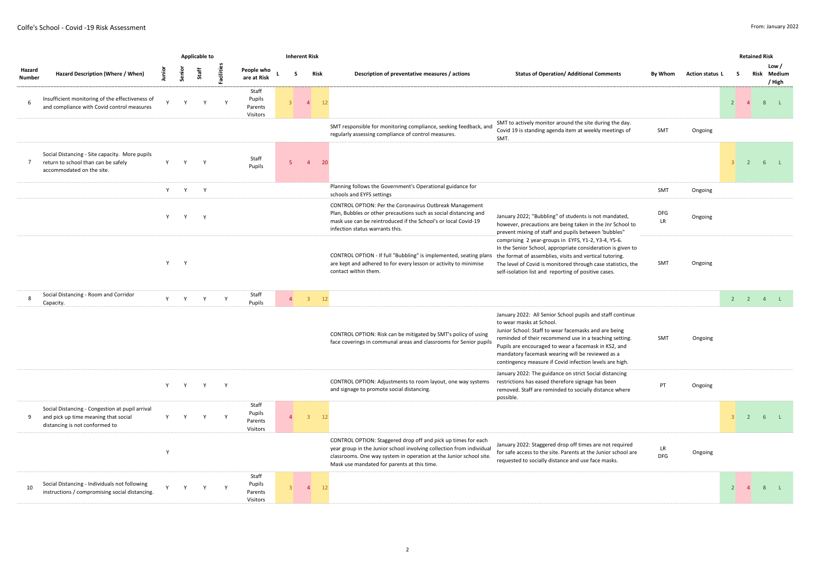|                  |                                                                                                                           |   |         | <b>Applicable to</b> |              |                                        |                | <b>Inherent Risk</b> |                                                                                                                                                                                                                                                            |                                                                                                                                                                                                                                                                                                                                                                                |                  |                 |                | <b>Retained Risk</b> |                                |
|------------------|---------------------------------------------------------------------------------------------------------------------------|---|---------|----------------------|--------------|----------------------------------------|----------------|----------------------|------------------------------------------------------------------------------------------------------------------------------------------------------------------------------------------------------------------------------------------------------------|--------------------------------------------------------------------------------------------------------------------------------------------------------------------------------------------------------------------------------------------------------------------------------------------------------------------------------------------------------------------------------|------------------|-----------------|----------------|----------------------|--------------------------------|
| Hazard<br>Number | Hazard Description (Where / When)                                                                                         |   | Senio   | Staff                | Facilitie    | People who<br>are at Risk              | -S             | Risk                 | Description of preventative measures / actions                                                                                                                                                                                                             | <b>Status of Operation/ Additional Comments</b>                                                                                                                                                                                                                                                                                                                                | By Whom          | Action status L | s.             |                      | Low /<br>Risk Medium<br>/ High |
| 6                | Insufficient monitoring of the effectiveness of<br>and compliance with Covid control measures                             |   | Y       | Y                    | $\mathsf{Y}$ | Staff<br>Pupils<br>Parents<br>Visitors |                | $\overline{4}$       | 12                                                                                                                                                                                                                                                         |                                                                                                                                                                                                                                                                                                                                                                                |                  |                 | 2 <sup>1</sup> | $\overline{4}$       | 8 <sup>°</sup><br>$-1$         |
|                  |                                                                                                                           |   |         |                      |              |                                        |                |                      | SMT responsible for monitoring compliance, seeking feedback, and<br>regularly assessing compliance of control measures.                                                                                                                                    | SMT to actively monitor around the site during the day.<br>Covid 19 is standing agenda item at weekly meetings of<br>SMT.                                                                                                                                                                                                                                                      | SMT              | Ongoing         |                |                      |                                |
| $7^{\circ}$      | Social Distancing - Site capacity. More pupils<br>return to school than can be safely<br>accommodated on the site.        | Y | Y       | Y                    |              | Staff<br>Pupils                        |                | $\overline{4}$       | 20                                                                                                                                                                                                                                                         |                                                                                                                                                                                                                                                                                                                                                                                |                  |                 | $\mathbf{R}$   | $\overline{2}$       | 6 <sub>1</sub>                 |
|                  |                                                                                                                           |   | Y Y     | Y                    |              |                                        |                |                      | Planning follows the Government's Operational guidance for<br>schools and EYFS settings                                                                                                                                                                    |                                                                                                                                                                                                                                                                                                                                                                                | SMT              | Ongoing         |                |                      |                                |
|                  |                                                                                                                           | Y | Y       | $\mathbf{v}$         |              |                                        |                |                      | CONTROL OPTION: Per the Coronavirus Outbreak Management<br>Plan, Bubbles or other precautions such as social distancing and<br>mask use can be reintroduced if the School's or local Covid-19<br>infection status warrants this.                           | January 2022; "Bubbling" of students is not mandated,<br>however, precautions are being taken in the Jnr School to<br>prevent mixing of staff and pupils between 'bubbles"                                                                                                                                                                                                     | <b>DFG</b><br>LR | Ongoing         |                |                      |                                |
|                  |                                                                                                                           |   | Y Y     |                      |              |                                        |                |                      | CONTROL OPTION - If full "Bubbling" is implemented, seating plans the format of assemblies, visits and vertical tutoring.<br>are kept and adhered to for every lesson or activity to minimise<br>contact within them.                                      | comprising 2 year-groups in EYFS, Y1-2, Y3-4, Y5-6.<br>In the Senior School, appropriate consideration is given to<br>The level of Covid is monitored through case statistics, the<br>self-isolation list and reporting of positive cases.                                                                                                                                     | SMT              | Ongoing         |                |                      |                                |
| 8                | Social Distancing - Room and Corridor<br>Capacity.                                                                        |   | Y Y     | Y                    | Y            | Staff<br>Pupils                        | $\overline{4}$ | $\overline{3}$       | 12                                                                                                                                                                                                                                                         |                                                                                                                                                                                                                                                                                                                                                                                |                  |                 |                |                      | $2$ $2$ $4$ $1$                |
|                  |                                                                                                                           |   |         |                      |              |                                        |                |                      | CONTROL OPTION: Risk can be mitigated by SMT's policy of using<br>face coverings in communal areas and classrooms for Senior pupils                                                                                                                        | January 2022: All Senior School pupils and staff continue<br>to wear masks at School.<br>Junior School: Staff to wear facemasks and are being<br>reminded of their recommend use in a teaching setting.<br>Pupils are encouraged to wear a facemask in KS2, and<br>mandatory facemask wearing will be reviewed as a<br>contingency measure if Covid infection levels are high. | SMT              | Ongoing         |                |                      |                                |
|                  |                                                                                                                           |   | Y Y Y Y |                      |              |                                        |                |                      | CONTROL OPTION: Adjustments to room layout, one way systems<br>and signage to promote social distancing.                                                                                                                                                   | January 2022: The guidance on strict Social distancing<br>restrictions has eased therefore signage has been<br>removed. Staff are reminded to socially distance where<br>possible.                                                                                                                                                                                             | PT               | Ongoing         |                |                      |                                |
| 9                | Social Distancing - Congestion at pupil arrival<br>and pick up time meaning that social<br>distancing is not conformed to | Y | Y       | Y                    | Y            | Staff<br>Pupils<br>Parents<br>Visitors |                | $\overline{3}$       | 12                                                                                                                                                                                                                                                         |                                                                                                                                                                                                                                                                                                                                                                                |                  |                 | 3 <sup>1</sup> |                      | $2 \t 6 \t L$                  |
|                  |                                                                                                                           | Y |         |                      |              |                                        |                |                      | CONTROL OPTION: Staggered drop off and pick up times for each<br>year group in the Junior school involving collection from individual<br>classrooms. One way system in operation at the Junior school site.<br>Mask use mandated for parents at this time. | January 2022: Staggered drop off times are not required<br>for safe access to the site. Parents at the Junior school are<br>requested to socially distance and use face masks.                                                                                                                                                                                                 | LR<br><b>DFG</b> | Ongoing         |                |                      |                                |
| 10               | Social Distancing - Individuals not following<br>instructions / compromising social distancing.                           |   |         |                      |              | Staff<br>Pupils<br>Parents<br>Visitors |                | $\overline{4}$       |                                                                                                                                                                                                                                                            |                                                                                                                                                                                                                                                                                                                                                                                |                  |                 | 2 <sup>1</sup> | $\overline{4}$       | $\sim$ 1.<br>8                 |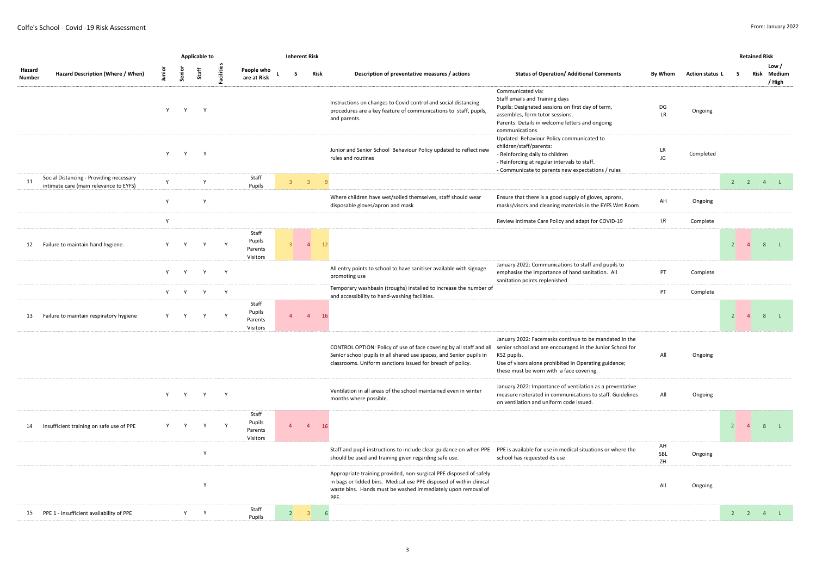|                  |                                                                                   |       |              | <b>Applicable to</b> |              |                                        |                |     | <b>Inherent Risk</b>    |                                                                                                                                                                                                                   |                                                                                                                                                                                                                                         |                                   |                 |                       | <b>Retained Risk</b> |                                |
|------------------|-----------------------------------------------------------------------------------|-------|--------------|----------------------|--------------|----------------------------------------|----------------|-----|-------------------------|-------------------------------------------------------------------------------------------------------------------------------------------------------------------------------------------------------------------|-----------------------------------------------------------------------------------------------------------------------------------------------------------------------------------------------------------------------------------------|-----------------------------------|-----------------|-----------------------|----------------------|--------------------------------|
| Hazard<br>Number | Hazard Description (Where / When)                                                 | pinul | Senior       | Staff                | Facilities   | People who<br>are at Risk              |                | - S | Risk                    | Description of preventative measures / actions                                                                                                                                                                    | <b>Status of Operation/ Additional Comments</b>                                                                                                                                                                                         | By Whom                           | Action status L | s.                    |                      | Low /<br>Risk Medium<br>/ High |
|                  |                                                                                   | Y     | Y            | Y                    |              |                                        |                |     |                         | Instructions on changes to Covid control and social distancing<br>procedures are a key feature of communications to staff, pupils,<br>and parents.                                                                | Communicated via:<br>Staff emails and Training days<br>Pupils: Designated sessions on first day of term,<br>assembles, form tutor sessions.<br>Parents: Details in welcome letters and ongoing<br>communications                        | DG<br><b>LR</b>                   | Ongoing         |                       |                      |                                |
|                  |                                                                                   | Y     | Y            | Y                    |              |                                        |                |     |                         | Junior and Senior School Behaviour Policy updated to reflect new<br>rules and routines                                                                                                                            | Updated Behaviour Policy communicated to<br>children/staff/parents:<br>- Reinforcing daily to children<br>- Reinforcing at regular intervals to staff.<br>- Communicate to parents new expectations / rules                             | LR<br>JG                          | Completed       |                       |                      |                                |
| 11               | Social Distancing - Providing necessary<br>intimate care (main relevance to EYFS) | Y     |              | Y                    |              | Staff<br>Pupils                        | 3 <sup>7</sup> |     | $\overline{\mathbf{3}}$ | $\overline{q}$                                                                                                                                                                                                    |                                                                                                                                                                                                                                         |                                   |                 |                       |                      | $2$ $2$ $4$ $1$                |
|                  |                                                                                   | Y     |              | Y                    |              |                                        |                |     |                         | Where children have wet/soiled themselves, staff should wear<br>disposable gloves/apron and mask                                                                                                                  | Ensure that there is a good supply of gloves, aprons,<br>masks/visors and cleaning materials in the EYFS Wet Room                                                                                                                       | AH                                | Ongoing         |                       |                      |                                |
|                  |                                                                                   | Y     |              |                      |              |                                        |                |     |                         |                                                                                                                                                                                                                   | Review intimate Care Policy and adapt for COVID-19                                                                                                                                                                                      | $\ensuremath{\mathsf{LR}}\xspace$ | Complete        |                       |                      |                                |
| 12               | Failure to maintain hand hygiene.                                                 | Y     |              | Y                    | $\mathsf{v}$ | Staff<br>Pupils<br>Parents<br>Visitors | 3 <sup>1</sup> |     | $\overline{4}$          | 12                                                                                                                                                                                                                |                                                                                                                                                                                                                                         |                                   |                 | $\overline{2}$        | $\overline{4}$       | 8 L                            |
|                  |                                                                                   |       | $\mathbf{Y}$ | Y                    | Y            |                                        |                |     |                         | All entry points to school to have sanitiser available with signage<br>promoting use                                                                                                                              | January 2022: Communications to staff and pupils to<br>emphasise the importance of hand sanitation. All<br>sanitation points replenished.                                                                                               | PT                                | Complete        |                       |                      |                                |
|                  |                                                                                   |       | Y Y          | Y                    | Y            |                                        |                |     |                         | Temporary washbasin (troughs) installed to increase the number of<br>and accessibility to hand-washing facilities.                                                                                                |                                                                                                                                                                                                                                         | PT                                | Complete        |                       |                      |                                |
| 13               | Failure to maintain respiratory hygiene                                           | Y     | Y            | Y                    | Y            | Staff<br>Pupils<br>Parents<br>Visitors | $\overline{4}$ |     | $\overline{4}$          | 16                                                                                                                                                                                                                |                                                                                                                                                                                                                                         |                                   |                 | $\overline{2}$        | $\overline{4}$       | 8 L                            |
|                  |                                                                                   |       |              |                      |              |                                        |                |     |                         | CONTROL OPTION: Policy of use of face covering by all staff and all<br>Senior school pupils in all shared use spaces, and Senior pupils in<br>classrooms. Uniform sanctions issued for breach of policy.          | January 2022: Facemasks continue to be mandated in the<br>senior school and are encouraged in the Junior School for<br>KS2 pupils.<br>Use of visors alone prohibited in Operating guidance;<br>these must be worn with a face covering. | All                               | Ongoing         |                       |                      |                                |
|                  |                                                                                   |       | Y Y          | Y                    | Y            |                                        |                |     |                         | Ventilation in all areas of the school maintained even in winter<br>months where possible.                                                                                                                        | January 2022: Importance of ventilation as a preventative<br>measure reiterated in communications to staff. Guidelines<br>on ventilation and uniform code issued.                                                                       | All                               | Ongoing         |                       |                      |                                |
| 14               | Insufficient training on safe use of PPE                                          | Y     | Y            | Y                    | $\mathsf{Y}$ | Staff<br>Pupils<br>Parents<br>Visitors | $\overline{4}$ |     | $\overline{4}$          | 16                                                                                                                                                                                                                |                                                                                                                                                                                                                                         |                                   |                 | $2 \quad 4$           |                      | 8 L                            |
|                  |                                                                                   |       |              | Y                    |              |                                        |                |     |                         | Staff and pupil instructions to include clear guidance on when PPE PPE is available for use in medical situations or where the<br>should be used and training given regarding safe use.                           | school has requested its use                                                                                                                                                                                                            | AH<br>SBL<br>ZH                   | Ongoing         |                       |                      |                                |
|                  |                                                                                   |       |              | Y                    |              |                                        |                |     |                         | Appropriate training provided, non-surgical PPE disposed of safely<br>in bags or lidded bins. Medical use PPE disposed of within clinical<br>waste bins. Hands must be washed immediately upon removal of<br>PPE. |                                                                                                                                                                                                                                         | All                               | Ongoing         |                       |                      |                                |
|                  | 15 PPE 1 - Insufficient availability of PPE                                       |       | Y            | Y                    |              | Staff<br>Pupils                        | 2              |     | $\overline{3}$          | 6                                                                                                                                                                                                                 |                                                                                                                                                                                                                                         |                                   |                 | $2 \qquad 2 \qquad 4$ |                      | L                              |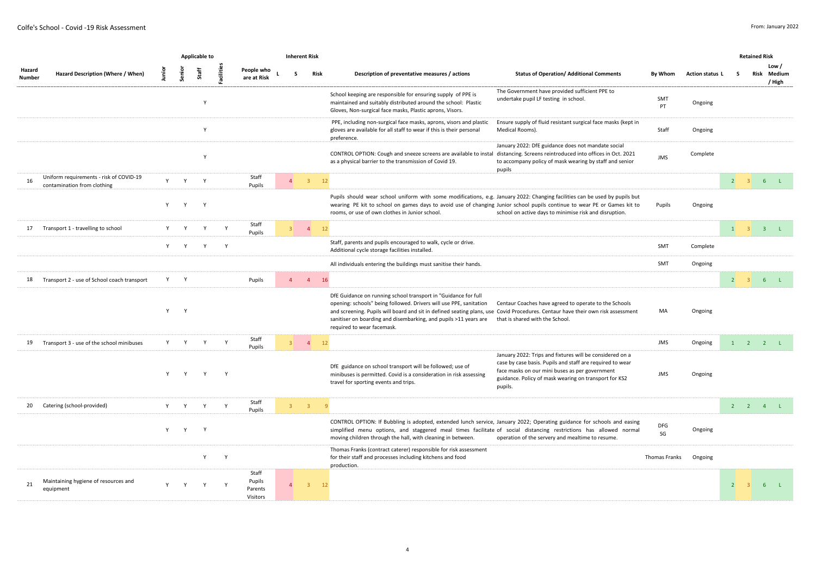|                  |                                                                        |                                                                                                                                                                                                                                |              | <b>Applicable to</b> |              |                                        |                | <b>Inherent Risk</b> |                                                                                                                                                                                                                                                                                                                                                                                                                                                                    |                  |                 |                             |                | <b>Retained Risk</b>        |                 |
|------------------|------------------------------------------------------------------------|--------------------------------------------------------------------------------------------------------------------------------------------------------------------------------------------------------------------------------|--------------|----------------------|--------------|----------------------------------------|----------------|----------------------|--------------------------------------------------------------------------------------------------------------------------------------------------------------------------------------------------------------------------------------------------------------------------------------------------------------------------------------------------------------------------------------------------------------------------------------------------------------------|------------------|-----------------|-----------------------------|----------------|-----------------------------|-----------------|
| Hazard<br>Number | Hazard Description (Where / When)                                      |                                                                                                                                                                                                                                | Senior       | Staff                | Facilities   | People who<br>are at Risk              | -S             | <b>Risk</b>          | Description of preventative measures / actions<br><b>Status of Operation/ Additional Comments</b>                                                                                                                                                                                                                                                                                                                                                                  | By Whom          | Action status L | s.                          |                | Risk Medium                 | Low /<br>/ High |
|                  |                                                                        |                                                                                                                                                                                                                                |              | Y                    |              |                                        |                |                      | The Government have provided sufficient PPE to<br>School keeping are responsible for ensuring supply of PPE is<br>undertake pupil LF testing in school.<br>maintained and suitably distributed around the school: Plastic<br>Gloves, Non-surgical face masks, Plastic aprons, Visors.                                                                                                                                                                              | SMT<br>PT        | Ongoing         |                             |                |                             |                 |
|                  |                                                                        |                                                                                                                                                                                                                                |              | Y                    |              |                                        |                |                      | Ensure supply of fluid resistant surgical face masks (kept in<br>PPE, including non-surgical face masks, aprons, visors and plastic<br>gloves are available for all staff to wear if this is their personal<br>Medical Rooms).<br>preference.                                                                                                                                                                                                                      | Staff            | Ongoing         |                             |                |                             |                 |
|                  |                                                                        |                                                                                                                                                                                                                                |              | Y                    |              |                                        |                |                      | January 2022: DfE guidance does not mandate social<br>CONTROL OPTION: Cough and sneeze screens are available to instal distancing. Screens reintroduced into offices in Oct. 2021<br>as a physical barrier to the transmission of Covid 19.<br>to accompany policy of mask wearing by staff and senior<br>pupils                                                                                                                                                   | <b>JMS</b>       | Complete        |                             |                |                             |                 |
| 16               | Uniform requirements - risk of COVID-19<br>contamination from clothing | Y                                                                                                                                                                                                                              | Y            | Y                    |              | Staff<br>Pupils                        | $\overline{4}$ | $\overline{3}$       | 12                                                                                                                                                                                                                                                                                                                                                                                                                                                                 |                  |                 | 2 <sup>1</sup>              |                | $3 \t 6 \t L$               |                 |
|                  |                                                                        | Y                                                                                                                                                                                                                              | Y            | Y                    |              |                                        |                |                      | Pupils should wear school uniform with some modifications, e.g. January 2022: Changing facilities can be used by pupils but<br>wearing PE kit to school on games days to avoid use of changing Junior school pupils continue to wear PE or Games kit to<br>rooms, or use of own clothes in Junior school.<br>school on active days to minimise risk and disruption.                                                                                                | Pupils           | Ongoing         |                             |                |                             |                 |
| 17               | Transport 1 - travelling to school                                     | Y                                                                                                                                                                                                                              | $\mathbf{v}$ | Y                    | $\mathsf{v}$ | Staff<br>Pupils                        | $3 \qquad 4$   |                      | 12                                                                                                                                                                                                                                                                                                                                                                                                                                                                 |                  |                 | $1 \quad 3 \quad 3 \quad L$ |                |                             |                 |
|                  |                                                                        | Y -                                                                                                                                                                                                                            | Y            | Y                    | Y            |                                        |                |                      | Staff, parents and pupils encouraged to walk, cycle or drive.<br>Additional cycle storage facilities installed.                                                                                                                                                                                                                                                                                                                                                    | SMT              | Complete        |                             |                |                             |                 |
|                  |                                                                        |                                                                                                                                                                                                                                |              |                      |              |                                        |                |                      | All individuals entering the buildings must sanitise their hands.                                                                                                                                                                                                                                                                                                                                                                                                  | SMT              | Ongoing         |                             |                |                             |                 |
| 18               | Transport 2 - use of School coach transport                            | Y                                                                                                                                                                                                                              | Y            |                      |              | Pupils                                 |                | $4 \t4$              | 16                                                                                                                                                                                                                                                                                                                                                                                                                                                                 |                  |                 | $\overline{2}$              | 3 <sup>1</sup> | 6L                          |                 |
|                  |                                                                        | Y                                                                                                                                                                                                                              | Y            |                      |              |                                        |                |                      | DfE Guidance on running school transport in "Guidance for full<br>opening: schools" being followed. Drivers will use PPE, sanitation<br>Centaur Coaches have agreed to operate to the Schools<br>and screening. Pupils will board and sit in defined seating plans, use Covid Procedures. Centaur have their own risk assessment<br>sanitiser on boarding and disembarking, and pupils >11 years are that is shared with the School.<br>required to wear facemask. | MA               | Ongoing         |                             |                |                             |                 |
| 19               | Transport 3 - use of the school minibuses                              |                                                                                                                                                                                                                                | Y Y          | Y                    | Y            | Staff<br>Pupils                        | $3 \t 4$       |                      | 12                                                                                                                                                                                                                                                                                                                                                                                                                                                                 | <b>JMS</b>       | Ongoing         |                             |                | $1 \quad 2 \quad 2 \quad L$ |                 |
|                  |                                                                        | $\mathsf{v}$                                                                                                                                                                                                                   | Y            | Y                    | Y            |                                        |                |                      | January 2022: Trips and fixtures will be considered on a<br>case by case basis. Pupils and staff are required to wear<br>DfE guidance on school transport will be followed; use of<br>face masks on our mini buses as per government<br>minibuses is permitted. Covid is a consideration in risk assessing<br>guidance. Policy of mask wearing on transport for KS2<br>travel for sporting events and trips.<br>pupils.                                            | <b>JMS</b>       | Ongoing         |                             |                |                             |                 |
| 20               | Catering (school-provided)                                             | Y and the set of the set of the set of the set of the set of the set of the set of the set of the set of the set of the set of the set of the set of the set of the set of the set of the set of the set of the set of the set | Y            | Y                    | Y            | Staff<br>Pupils                        | $3^{\circ}$ 3  |                      | 9                                                                                                                                                                                                                                                                                                                                                                                                                                                                  |                  |                 |                             |                | $2$ $2$ $4$ $1$             |                 |
|                  |                                                                        | Y                                                                                                                                                                                                                              | Y            | Y                    |              |                                        |                |                      | CONTROL OPTION: If Bubbling is adopted, extended lunch service, January 2022; Operating guidance for schools and easing<br>simplified menu options, and staggered meal times facilitate of social distancing restrictions has allowed normal<br>moving children through the hall, with cleaning in between.<br>operation of the servery and mealtime to resume.                                                                                                    | <b>DFG</b><br>SG | Ongoing         |                             |                |                             |                 |
|                  |                                                                        |                                                                                                                                                                                                                                |              | Y                    | Y            |                                        |                |                      | Thomas Franks (contract caterer) responsible for risk assessment<br>for their staff and processes including kitchens and food<br>production.                                                                                                                                                                                                                                                                                                                       | Thomas Franks    | Ongoing         |                             |                |                             |                 |
| 21               | Maintaining hygiene of resources and<br>equipment                      |                                                                                                                                                                                                                                | Y            | Y                    | Y            | Staff<br>Pupils<br>Parents<br>Visitors | $\overline{a}$ | $\overline{3}$       | 12                                                                                                                                                                                                                                                                                                                                                                                                                                                                 |                  |                 | $\overline{2}$              |                | 6                           | $\mathbf{L}$    |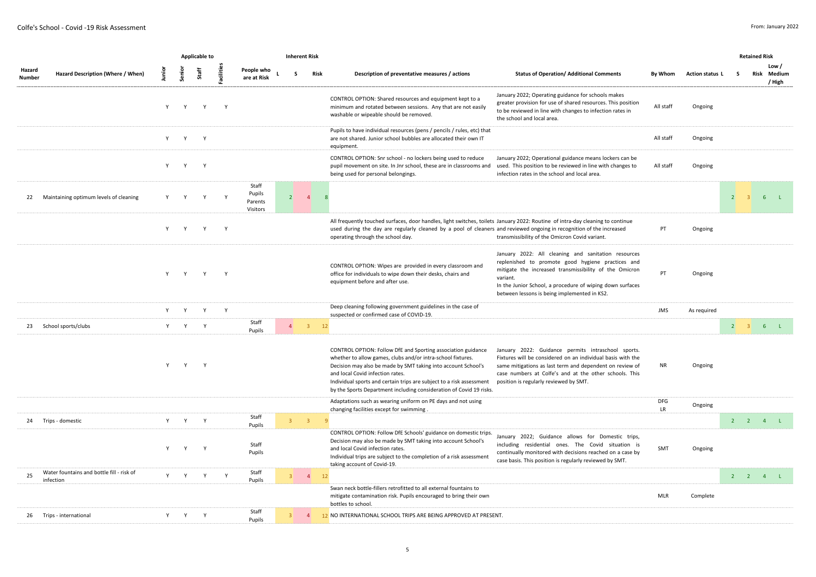|                  |                                                        |          |              | <b>Applicable to</b> |          |                                        |                | <b>Inherent Risk</b>    |      |                                                                                                                                                                                                                                                                                                                                                                                 |                                                                                                                                                                                                                                                                                             |                  |                 |                                | <b>Retained Risk</b> |                 |        |
|------------------|--------------------------------------------------------|----------|--------------|----------------------|----------|----------------------------------------|----------------|-------------------------|------|---------------------------------------------------------------------------------------------------------------------------------------------------------------------------------------------------------------------------------------------------------------------------------------------------------------------------------------------------------------------------------|---------------------------------------------------------------------------------------------------------------------------------------------------------------------------------------------------------------------------------------------------------------------------------------------|------------------|-----------------|--------------------------------|----------------------|-----------------|--------|
| Hazard<br>Number | Hazard Description (Where / When)                      | nia<br>E | Senior       | Staff                | acilitie | People who<br>are at Risk              |                | S                       | Risk | Description of preventative measures / actions                                                                                                                                                                                                                                                                                                                                  | <b>Status of Operation/ Additional Comments</b>                                                                                                                                                                                                                                             | By Whom          | Action status L | s                              | Risk                 | Low /<br>/ High | Medium |
|                  |                                                        | Y        | Y            | Y                    | Y        |                                        |                |                         |      | CONTROL OPTION: Shared resources and equipment kept to a<br>minimum and rotated between sessions. Any that are not easily<br>washable or wipeable should be removed.                                                                                                                                                                                                            | January 2022; Operating guidance for schools makes<br>greater provision for use of shared resources. This position<br>to be reviewed in line with changes to infection rates in<br>the school and local area.                                                                               | All staff        | Ongoing         |                                |                      |                 |        |
|                  |                                                        | Y        | Y            | Y                    |          |                                        |                |                         |      | Pupils to have individual resources (pens / pencils / rules, etc) that<br>are not shared. Junior school bubbles are allocated their own IT<br>equipment.                                                                                                                                                                                                                        |                                                                                                                                                                                                                                                                                             | All staff        | Ongoing         |                                |                      |                 |        |
|                  |                                                        | Y        | Y            | Y                    |          |                                        |                |                         |      | CONTROL OPTION: Snr school - no lockers being used to reduce<br>pupil movement on site. In Jnr school, these are in classrooms and<br>being used for personal belongings.                                                                                                                                                                                                       | January 2022; Operational guidance means lockers can be<br>used. This position to be reviewed in line with changes to<br>infection rates in the school and local area.                                                                                                                      | All staff        | Ongoing         |                                |                      |                 |        |
| 22               | Maintaining optimum levels of cleaning                 | Υ        | Y            | Y                    | Y        | Staff<br>Pupils<br>Parents<br>Visitors | 2              | $\overline{4}$          | - 8  |                                                                                                                                                                                                                                                                                                                                                                                 |                                                                                                                                                                                                                                                                                             |                  |                 | $\overline{2}$                 |                      | 6               | $-L$   |
|                  |                                                        | Y        | Y            | Y                    | Y        |                                        |                |                         |      | All frequently touched surfaces, door handles, light switches, toilets January 2022: Routine of intra-day cleaning to continue<br>used during the day are regularly cleaned by a pool of cleaners and reviewed ongoing in recognition of the increased<br>operating through the school day.                                                                                     | transmissibility of the Omicron Covid variant.                                                                                                                                                                                                                                              | PT               | Ongoing         |                                |                      |                 |        |
|                  |                                                        |          |              | Y Y Y Y              |          |                                        |                |                         |      | CONTROL OPTION: Wipes are provided in every classroom and<br>office for individuals to wipe down their desks, chairs and<br>equipment before and after use.                                                                                                                                                                                                                     | January 2022: All cleaning and sanitation resources<br>replenished to promote good hygiene practices and<br>mitigate the increased transmissibility of the Omicron<br>variant.<br>In the Junior School, a procedure of wiping down surfaces<br>between lessons is being implemented in KS2. | PT               | Ongoing         |                                |                      |                 |        |
|                  |                                                        | Y        | Y            | Y                    | Y        |                                        |                |                         |      | Deep cleaning following government guidelines in the case of<br>suspected or confirmed case of COVID-19.                                                                                                                                                                                                                                                                        |                                                                                                                                                                                                                                                                                             | <b>JMS</b>       | As required     |                                |                      |                 |        |
| 23               | School sports/clubs                                    | Y        | Y            | Y                    |          | Staff<br>Pupils                        | $\overline{4}$ | $\overline{3}$          | 12   |                                                                                                                                                                                                                                                                                                                                                                                 |                                                                                                                                                                                                                                                                                             |                  |                 | $2 \quad 3 \quad 6 \quad L$    |                      |                 |        |
|                  |                                                        | Y        | Y            | Y                    |          |                                        |                |                         |      | CONTROL OPTION: Follow DfE and Sporting association guidance<br>whether to allow games, clubs and/or intra-school fixtures.<br>Decision may also be made by SMT taking into account School's<br>and local Covid infection rates.<br>Individual sports and certain trips are subject to a risk assessment<br>by the Sports Department including consideration of Covid 19 risks. | January 2022: Guidance permits intraschool sports.<br>Fixtures will be considered on an individual basis with the<br>same mitigations as last term and dependent on review of<br>case numbers at Colfe's and at the other schools. This<br>position is regularly reviewed by SMT.           | <b>NR</b>        | Ongoing         |                                |                      |                 |        |
|                  |                                                        |          |              |                      |          |                                        |                |                         |      | Adaptations such as wearing uniform on PE days and not using<br>changing facilities except for swimming                                                                                                                                                                                                                                                                         |                                                                                                                                                                                                                                                                                             | <b>DFG</b><br>LR | Ongoing         |                                |                      |                 |        |
|                  | 24 Trips - domestic                                    | Y        | Y            | Y                    |          | Staff<br>Pupils                        | 3 <sup>7</sup> | $\overline{\mathbf{3}}$ | -9   |                                                                                                                                                                                                                                                                                                                                                                                 |                                                                                                                                                                                                                                                                                             |                  |                 | $2$ $2$ $4$ $1$                |                      |                 |        |
|                  |                                                        |          | $\mathsf{Y}$ | $\mathbf{v}$         |          | Staff<br>Pupils                        |                |                         |      | CONTROL OPTION: Follow DfE Schools' guidance on domestic trips.<br>Decision may also be made by SMT taking into account School's<br>and local Covid infection rates.<br>Individual trips are subject to the completion of a risk assessment<br>taking account of Covid-19.                                                                                                      | January 2022; Guidance allows for Domestic trips,<br>including residential ones. The Covid situation is<br>continually monitored with decisions reached on a case by<br>case basis. This position is regularly reviewed by SMT.                                                             | SMT              | Ongoing         |                                |                      |                 |        |
| 25               | Water fountains and bottle fill - risk of<br>infection |          | Y Y Y        |                      | Y        | Staff<br>Pupils                        |                | $3 \qquad 4$            | 12   |                                                                                                                                                                                                                                                                                                                                                                                 |                                                                                                                                                                                                                                                                                             |                  |                 | $2 \qquad 2 \qquad 4 \qquad L$ |                      |                 |        |
|                  |                                                        |          |              |                      |          |                                        |                |                         |      | Swan neck bottle-fillers retrofitted to all external fountains to<br>mitigate contamination risk. Pupils encouraged to bring their own<br>bottles to school.                                                                                                                                                                                                                    |                                                                                                                                                                                                                                                                                             | <b>MLR</b>       | Complete        |                                |                      |                 |        |
|                  | 26 Trips - international                               |          | Y Y Y        |                      |          | Staff<br>Pupils                        | 3 <sup>1</sup> | $\overline{4}$          |      | 12 NO INTERNATIONAL SCHOOL TRIPS ARE BEING APPROVED AT PRESENT.                                                                                                                                                                                                                                                                                                                 |                                                                                                                                                                                                                                                                                             |                  |                 |                                |                      |                 |        |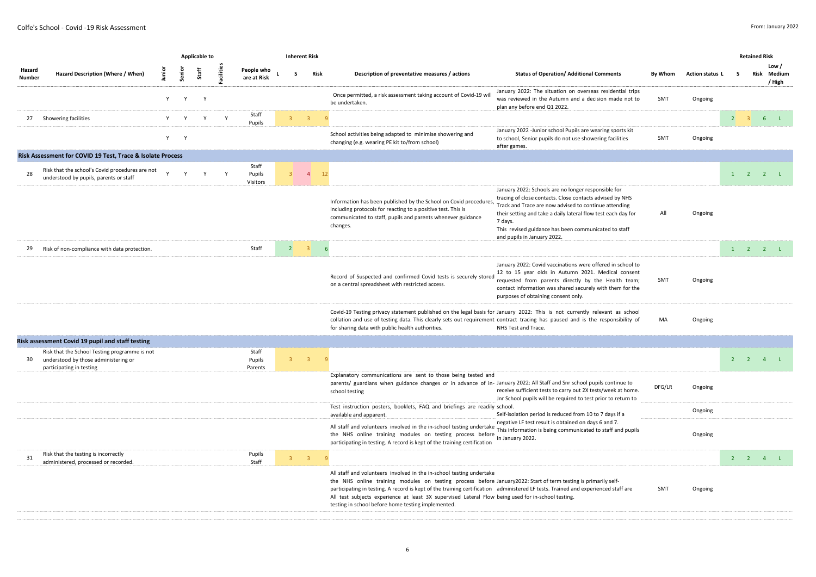|                         |                                                                                                                   |             |              | Applicable to |           |                             |                | <b>Inherent Risk</b> |                |                                                                                                                                                                                                                                                                                                                                                                                                                                                                                          |                                                                                                                                                                                                                                                                                                                                             |         |                 |                | <b>Retained Risk</b> |                                |
|-------------------------|-------------------------------------------------------------------------------------------------------------------|-------------|--------------|---------------|-----------|-----------------------------|----------------|----------------------|----------------|------------------------------------------------------------------------------------------------------------------------------------------------------------------------------------------------------------------------------------------------------------------------------------------------------------------------------------------------------------------------------------------------------------------------------------------------------------------------------------------|---------------------------------------------------------------------------------------------------------------------------------------------------------------------------------------------------------------------------------------------------------------------------------------------------------------------------------------------|---------|-----------------|----------------|----------------------|--------------------------------|
| Hazard<br><b>Number</b> | Hazard Description (Where / When)                                                                                 | nia<br>L    | Senior       | Staff         | Facilitie | People who<br>are at Risk   | $\sim$         |                      | Risk           | Description of preventative measures / actions                                                                                                                                                                                                                                                                                                                                                                                                                                           | <b>Status of Operation/ Additional Comments</b>                                                                                                                                                                                                                                                                                             | By Whom | Action status L | <b>S</b>       | Risk                 | Low/<br>Medium<br>/ High       |
|                         |                                                                                                                   | Y           | Y            | Y             |           |                             |                |                      |                | Once permitted, a risk assessment taking account of Covid-19 will<br>be undertaken.                                                                                                                                                                                                                                                                                                                                                                                                      | January 2022: The situation on overseas residential trips<br>was reviewed in the Autumn and a decision made not to<br>plan any before end Q1 2022.                                                                                                                                                                                          | SMT     | Ongoing         |                |                      |                                |
| 27                      | Showering facilities                                                                                              | Y           | $\mathsf{Y}$ | Y             | Y         | Staff<br>Pupils             | $\overline{3}$ | $\overline{3}$       |                |                                                                                                                                                                                                                                                                                                                                                                                                                                                                                          |                                                                                                                                                                                                                                                                                                                                             |         |                 | $\overline{2}$ | $\overline{3}$       | 6L                             |
|                         |                                                                                                                   | $Y =$       | Y            |               |           |                             |                |                      |                | School activities being adapted to minimise showering and<br>changing (e.g. wearing PE kit to/from school)                                                                                                                                                                                                                                                                                                                                                                               | January 2022 -Junior school Pupils are wearing sports kit<br>to school, Senior pupils do not use showering facilities<br>after games.                                                                                                                                                                                                       | SMT     | Ongoing         |                |                      |                                |
|                         | Risk Assessment for COVID 19 Test, Trace & Isolate Process                                                        |             |              |               |           |                             |                |                      |                |                                                                                                                                                                                                                                                                                                                                                                                                                                                                                          |                                                                                                                                                                                                                                                                                                                                             |         |                 |                |                      |                                |
| 28                      | Risk that the school's Covid procedures are not<br>understood by pupils, parents or staff                         | $\mathbf v$ | $\mathbf{v}$ | Y             | Y         | Staff<br>Pupils<br>Visitors |                | $3^{\circ}$ 4        | 12             |                                                                                                                                                                                                                                                                                                                                                                                                                                                                                          |                                                                                                                                                                                                                                                                                                                                             |         |                 |                |                      | $1 \quad 2 \quad 2 \quad L$    |
|                         |                                                                                                                   |             |              |               |           |                             |                |                      |                | Information has been published by the School on Covid procedures,<br>including protocols for reacting to a positive test. This is<br>communicated to staff, pupils and parents whenever guidance<br>changes.                                                                                                                                                                                                                                                                             | January 2022: Schools are no longer responsible for<br>tracing of close contacts. Close contacts advised by NHS<br>Track and Trace are now advised to continue attending<br>their setting and take a daily lateral flow test each day for<br>7 days.<br>This revised guidance has been communicated to staff<br>and pupils in January 2022. | All     | Ongoing         |                |                      |                                |
| 29                      | Risk of non-compliance with data protection.                                                                      |             |              |               |           | Staff                       | 2              | $\overline{3}$       |                |                                                                                                                                                                                                                                                                                                                                                                                                                                                                                          |                                                                                                                                                                                                                                                                                                                                             |         |                 |                |                      | $1 \quad 2 \quad 2 \quad L$    |
|                         |                                                                                                                   |             |              |               |           |                             |                |                      |                | Record of Suspected and confirmed Covid tests is securely stored<br>on a central spreadsheet with restricted access.                                                                                                                                                                                                                                                                                                                                                                     | January 2022: Covid vaccinations were offered in school to<br>12 to 15 year olds in Autumn 2021. Medical consent<br>requested from parents directly by the Health team;<br>contact information was shared securely with them for the<br>purposes of obtaining consent only.                                                                 | SMT     | Ongoing         |                |                      |                                |
|                         |                                                                                                                   |             |              |               |           |                             |                |                      |                | Covid-19 Testing privacy statement published on the legal basis for January 2022: This is not currently relevant as school<br>collation and use of testing data. This clearly sets out requirement contract tracing has paused and is the responsibility of<br>for sharing data with public health authorities.                                                                                                                                                                          | NHS Test and Trace.                                                                                                                                                                                                                                                                                                                         | MA      | Ongoing         |                |                      |                                |
|                         | Risk assessment Covid 19 pupil and staff testing                                                                  |             |              |               |           |                             |                |                      |                |                                                                                                                                                                                                                                                                                                                                                                                                                                                                                          |                                                                                                                                                                                                                                                                                                                                             |         |                 |                |                      |                                |
| 30                      | Risk that the School Testing programme is not<br>understood by those administering or<br>participating in testing |             |              |               |           | Staff<br>Pupils<br>Parents  |                | $3^{\circ}$ 3        | $\overline{9}$ |                                                                                                                                                                                                                                                                                                                                                                                                                                                                                          |                                                                                                                                                                                                                                                                                                                                             |         |                 |                |                      | $2 \qquad 2 \qquad 4 \qquad L$ |
|                         |                                                                                                                   |             |              |               |           |                             |                |                      |                | Explanatory communications are sent to those being tested and<br>parents/ guardians when guidance changes or in advance of in- January 2022: All Staff and Snr school pupils continue to<br>school testing                                                                                                                                                                                                                                                                               | receive sufficient tests to carry out 2X tests/week at home.<br>Jnr School pupils will be required to test prior to return to                                                                                                                                                                                                               | DFG/LR  | Ongoing         |                |                      |                                |
|                         |                                                                                                                   |             |              |               |           |                             |                |                      |                | Test instruction posters, booklets, FAQ and briefings are readily school.<br>available and apparent.                                                                                                                                                                                                                                                                                                                                                                                     | Self-isolation period is reduced from 10 to 7 days if a                                                                                                                                                                                                                                                                                     |         | Ongoing         |                |                      |                                |
|                         |                                                                                                                   |             |              |               |           |                             |                |                      |                | All staff and volunteers involved in the in-school testing undertake<br>the NHS online training modules on testing process before<br>participating in testing. A record is kept of the training certification                                                                                                                                                                                                                                                                            | negative LF test result is obtained on days 6 and 7.<br>This information is being communicated to staff and pupils<br>in January 2022.                                                                                                                                                                                                      |         | Ongoing         |                |                      |                                |
| 31                      | Risk that the testing is incorrectly<br>administered, processed or recorded.                                      |             |              |               |           | Pupils<br>Staff             |                | $3 \qquad 3$         | - 9            |                                                                                                                                                                                                                                                                                                                                                                                                                                                                                          |                                                                                                                                                                                                                                                                                                                                             |         |                 |                |                      | $2 \qquad 2 \qquad 4 \qquad L$ |
|                         |                                                                                                                   |             |              |               |           |                             |                |                      |                | All staff and volunteers involved in the in-school testing undertake<br>the NHS online training modules on testing process before January2022: Start of term testing is primarily self-<br>participating in testing. A record is kept of the training certification administered LF tests. Trained and experienced staff are<br>All test subjects experience at least 3X supervised Lateral Flow being used for in-school testing.<br>testing in school before home testing implemented. |                                                                                                                                                                                                                                                                                                                                             | SMT     | Ongoing         |                |                      |                                |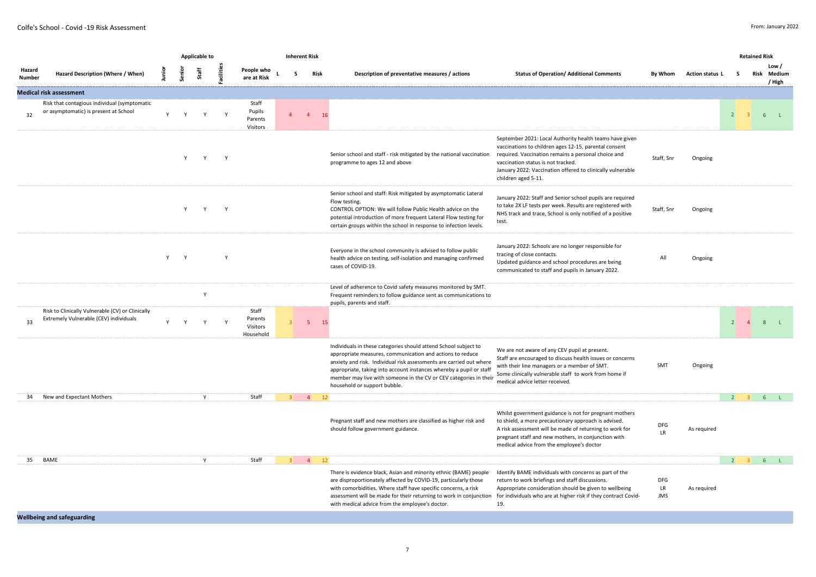|                         |                                                                                            |              |              | <b>Applicable to</b> |                  |                                           |                | <b>Inherent Risk</b> |      |                                                                                                                                                                                                                                                                                                                                                                                 |                                                                                                                                                                                                                                                                                                    |                                |                 |                                  | <b>Retained Risk</b> |                                |
|-------------------------|--------------------------------------------------------------------------------------------|--------------|--------------|----------------------|------------------|-------------------------------------------|----------------|----------------------|------|---------------------------------------------------------------------------------------------------------------------------------------------------------------------------------------------------------------------------------------------------------------------------------------------------------------------------------------------------------------------------------|----------------------------------------------------------------------------------------------------------------------------------------------------------------------------------------------------------------------------------------------------------------------------------------------------|--------------------------------|-----------------|----------------------------------|----------------------|--------------------------------|
| Hazard<br><b>Number</b> | Hazard Description (Where / When)                                                          | nian<br>L    | Senior       | Staff                | <b>Facilitie</b> | People who<br>are at Risk                 |                |                      | Risk | Description of preventative measures / actions                                                                                                                                                                                                                                                                                                                                  | <b>Status of Operation/ Additional Comments</b>                                                                                                                                                                                                                                                    | By Whom                        | Action status L | s                                | Risk                 | Low/<br>Medium<br>/ High       |
|                         | <b>Medical risk assessment</b>                                                             |              |              |                      |                  |                                           |                |                      |      |                                                                                                                                                                                                                                                                                                                                                                                 |                                                                                                                                                                                                                                                                                                    |                                |                 |                                  |                      |                                |
| 32                      | Risk that contagious individual (symptomatic<br>or asymptomatic) is present at School      | Y            | Y            | Y                    | Y                | Staff<br>Pupils<br>Parents<br>Visitors    |                | $\overline{4}$       | 16   |                                                                                                                                                                                                                                                                                                                                                                                 |                                                                                                                                                                                                                                                                                                    |                                |                 | $\overline{2}$                   |                      | 6 <sup>1</sup><br>$-L$         |
|                         |                                                                                            |              | Y            | Y                    | Y                |                                           |                |                      |      | Senior school and staff - risk mitigated by the national vaccination<br>programme to ages 12 and above                                                                                                                                                                                                                                                                          | September 2021: Local Authority health teams have given<br>vaccinations to children ages 12-15, parental consent<br>required. Vaccination remains a personal choice and<br>vaccination status is not tracked.<br>January 2022: Vaccination offered to clinically vulnerable<br>children aged 5-11. | Staff, Snr                     | Ongoing         |                                  |                      |                                |
|                         |                                                                                            |              | Y            | Y                    | Y                |                                           |                |                      |      | Senior school and staff: Risk mitigated by asymptomatic Lateral<br>Flow testing.<br>CONTROL OPTION: We will follow Public Health advice on the<br>potential introduction of more frequent Lateral Flow testing for<br>certain groups within the school in response to infection levels.                                                                                         | January 2022: Staff and Senior school pupils are required<br>to take 2X LF tests per week. Results are registered with<br>NHS track and trace, School is only notified of a positive<br>test.                                                                                                      | Staff, Snr                     | Ongoing         |                                  |                      |                                |
|                         |                                                                                            |              | Y Y          |                      | Y                |                                           |                |                      |      | Everyone in the school community is advised to follow public<br>health advice on testing, self-isolation and managing confirmed<br>cases of COVID-19.                                                                                                                                                                                                                           | January 2022: Schools are no longer responsible for<br>tracing of close contacts.<br>Updated guidance and school procedures are being<br>communicated to staff and pupils in January 2022.                                                                                                         | All                            | Ongoing         |                                  |                      |                                |
|                         |                                                                                            |              |              | $\mathsf{Y}$         |                  |                                           |                |                      |      | Level of adherence to Covid safety measures monitored by SMT.<br>Frequent reminders to follow guidance sent as communications to<br>pupils, parents and staff.                                                                                                                                                                                                                  |                                                                                                                                                                                                                                                                                                    |                                |                 |                                  |                      |                                |
| 33                      | Risk to Clinically Vulnerable (CV) or Clinically<br>Extremely Vulnerable (CEV) individuals | $\mathsf{v}$ | $\mathsf{v}$ | $\mathsf{Y}$         | <sup>V</sup>     | Staff<br>Parents<br>Visitors<br>Household | 3 <sup>1</sup> | $-5$                 | 15   |                                                                                                                                                                                                                                                                                                                                                                                 |                                                                                                                                                                                                                                                                                                    |                                |                 | $\overline{2}$<br>$\overline{4}$ |                      | 8 <sub>1</sub>                 |
|                         |                                                                                            |              |              |                      |                  |                                           |                |                      |      | Individuals in these categories should attend School subject to<br>appropriate measures, communication and actions to reduce<br>anxiety and risk. Individual risk assessments are carried out where<br>appropriate, taking into account instances whereby a pupil or staff<br>member may live with someone in the CV or CEV categories in their<br>household or support bubble. | We are not aware of any CEV pupil at present.<br>Staff are encouraged to discuss health issues or concerns<br>with their line managers or a member of SMT.<br>Some clinically vulnerable staff to work from home if<br>medical advice letter received.                                             | SMT                            | Ongoing         |                                  |                      |                                |
| 34                      | New and Expectant Mothers                                                                  |              |              | Y                    |                  | Staff                                     | $\overline{z}$ | $\overline{4}$       | 12   |                                                                                                                                                                                                                                                                                                                                                                                 |                                                                                                                                                                                                                                                                                                    |                                |                 |                                  |                      | $2 \t3 \t6 \t1$                |
|                         |                                                                                            |              |              |                      |                  |                                           |                |                      |      | Pregnant staff and new mothers are classified as higher risk and<br>should follow government guidance.                                                                                                                                                                                                                                                                          | Whilst government guidance is not for pregnant mothers<br>to shield, a more precautionary approach is advised.<br>A risk assessment will be made of returning to work for<br>pregnant staff and new mothers, in conjunction with<br>medical advice from the employee's doctor                      | DFG<br><b>LR</b>               | As required     |                                  |                      |                                |
| 35                      | BAME                                                                                       |              |              | Y                    |                  | Staff                                     | 3 <sup>1</sup> | $\overline{4}$       | 12   |                                                                                                                                                                                                                                                                                                                                                                                 |                                                                                                                                                                                                                                                                                                    |                                |                 | $2 \t3$                          |                      | 6 <sup>1</sup><br><b>CLASS</b> |
|                         |                                                                                            |              |              |                      |                  |                                           |                |                      |      | There is evidence black, Asian and minority ethnic (BAME) people<br>are disproportionately affected by COVID-19, particularly those<br>with comorbidities. Where staff have specific concerns, a risk<br>assessment will be made for their returning to work in conjunction<br>with medical advice from the employee's doctor.                                                  | Identify BAME individuals with concerns as part of the<br>return to work briefings and staff discussions.<br>Appropriate consideration should be given to wellbeing<br>for individuals who are at higher risk if they contract Covid-<br>19.                                                       | <b>DFG</b><br>LR<br><b>JMS</b> | As required     |                                  |                      |                                |
|                         | and the contract of the contract of the                                                    |              |              |                      |                  |                                           |                |                      |      |                                                                                                                                                                                                                                                                                                                                                                                 |                                                                                                                                                                                                                                                                                                    |                                |                 |                                  |                      |                                |

**Wellbeing and safeguarding**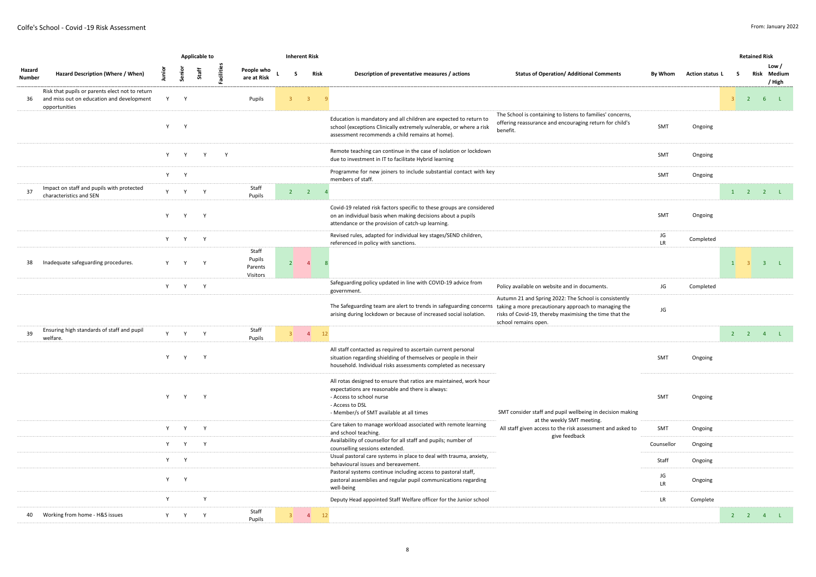|                  |                                                                                                               |                                                                                                                                                                                                                                |        | <b>Applicable to</b> |            |                                        |                | <b>Inherent Risk</b> |                               |                                                                                                                                                                                                                   |                                                                                                                                          |                 |                 |              | <b>Retained Risk</b> |                                |
|------------------|---------------------------------------------------------------------------------------------------------------|--------------------------------------------------------------------------------------------------------------------------------------------------------------------------------------------------------------------------------|--------|----------------------|------------|----------------------------------------|----------------|----------------------|-------------------------------|-------------------------------------------------------------------------------------------------------------------------------------------------------------------------------------------------------------------|------------------------------------------------------------------------------------------------------------------------------------------|-----------------|-----------------|--------------|----------------------|--------------------------------|
| Hazard<br>Number | Hazard Description (Where / When)                                                                             | <b>Dunion</b>                                                                                                                                                                                                                  | Senior | Staff                | Facilities | People who<br>are at Risk              |                | -S                   | <b>Risk</b>                   | Description of preventative measures / actions                                                                                                                                                                    | <b>Status of Operation/ Additional Comments</b>                                                                                          | By Whom         | Action status L | s.           |                      | Low /<br>Risk Medium<br>/ High |
| 36               | Risk that pupils or parents elect not to return<br>and miss out on education and development<br>opportunities | Y                                                                                                                                                                                                                              | Y      |                      |            | Pupils                                 | 3 <sup>7</sup> |                      | $\overline{\mathbf{3}}$<br>-9 |                                                                                                                                                                                                                   |                                                                                                                                          |                 |                 |              |                      | $3 \quad 2 \quad 6 \quad L$    |
|                  |                                                                                                               | Y                                                                                                                                                                                                                              | Y      |                      |            |                                        |                |                      |                               | Education is mandatory and all children are expected to return to<br>school (exceptions Clinically extremely vulnerable, or where a risk<br>assessment recommends a child remains at home).                       | The School is containing to listens to families' concerns,<br>offering reassurance and encouraging return for child's<br>benefit.        | SMT             | Ongoing         |              |                      |                                |
|                  |                                                                                                               | Y                                                                                                                                                                                                                              | Y      | Y                    | Y          |                                        |                |                      |                               | Remote teaching can continue in the case of isolation or lockdown<br>due to investment in IT to facilitate Hybrid learning                                                                                        |                                                                                                                                          | SMT             | Ongoing         |              |                      |                                |
|                  |                                                                                                               |                                                                                                                                                                                                                                | Y Y    |                      |            |                                        |                |                      |                               | Programme for new joiners to include substantial contact with key<br>members of staff.                                                                                                                            |                                                                                                                                          | SMT             | Ongoing         |              |                      |                                |
| 37               | Impact on staff and pupils with protected<br>characteristics and SEN                                          |                                                                                                                                                                                                                                | Y Y    | Y                    |            | Staff<br>Pupils                        |                | $2 \t 2$             | $\overline{4}$                |                                                                                                                                                                                                                   |                                                                                                                                          |                 |                 |              |                      | $1 \quad 2 \quad 2 \quad L$    |
|                  |                                                                                                               | Y                                                                                                                                                                                                                              | Y      | Y                    |            |                                        |                |                      |                               | Covid-19 related risk factors specific to these groups are considered<br>on an individual basis when making decisions about a pupils<br>attendance or the provision of catch-up learning.                         |                                                                                                                                          | SMT             | Ongoing         |              |                      |                                |
|                  |                                                                                                               | Y                                                                                                                                                                                                                              | Y      | Y                    |            |                                        |                |                      |                               | Revised rules, adapted for individual key stages/SEND children,<br>referenced in policy with sanctions.                                                                                                           |                                                                                                                                          | JG<br>LR        | Completed       |              |                      |                                |
| 38               | Inadequate safeguarding procedures.                                                                           | Y                                                                                                                                                                                                                              | Y      | Y                    |            | Staff<br>Pupils<br>Parents<br>Visitors | $\overline{2}$ |                      | $\overline{4}$                | -8                                                                                                                                                                                                                |                                                                                                                                          |                 |                 | $\mathbf{1}$ | $\overline{3}$       | 3 L                            |
|                  |                                                                                                               |                                                                                                                                                                                                                                | Y Y Y  |                      |            |                                        |                |                      |                               | Safeguarding policy updated in line with COVID-19 advice from<br>government.                                                                                                                                      | Policy available on website and in documents.                                                                                            | JG              | Completed       |              |                      |                                |
|                  |                                                                                                               |                                                                                                                                                                                                                                |        |                      |            |                                        |                |                      |                               | The Safeguarding team are alert to trends in safeguarding concerns taking a more precautionary approach to managing the<br>arising during lockdown or because of increased social isolation.                      | Autumn 21 and Spring 2022: The School is consistently<br>risks of Covid-19, thereby maximising the time that the<br>school remains open. | JG              |                 |              |                      |                                |
| 39               | Ensuring high standards of staff and pupil<br>welfare.                                                        | Y                                                                                                                                                                                                                              | Y      | Y                    |            | Staff<br>Pupils                        |                | $3 \qquad 4$         | 12                            |                                                                                                                                                                                                                   |                                                                                                                                          |                 |                 |              |                      | $2$ 2 4 L                      |
|                  |                                                                                                               | Y                                                                                                                                                                                                                              | Y      | Y                    |            |                                        |                |                      |                               | All staff contacted as required to ascertain current personal<br>situation regarding shielding of themselves or people in their<br>household. Individual risks assessments completed as necessary                 |                                                                                                                                          | SMT             | Ongoing         |              |                      |                                |
|                  |                                                                                                               | Y                                                                                                                                                                                                                              | Y      | Y                    |            |                                        |                |                      |                               | All rotas designed to ensure that ratios are maintained, work hour<br>expectations are reasonable and there is always:<br>- Access to school nurse<br>- Access to DSL<br>- Member/s of SMT available at all times | SMT consider staff and pupil wellbeing in decision making                                                                                | SMT             | Ongoing         |              |                      |                                |
|                  |                                                                                                               | Y                                                                                                                                                                                                                              | Y      | Y                    |            |                                        |                |                      |                               | Care taken to manage workload associated with remote learning<br>and school teaching.                                                                                                                             | at the weekly SMT meeting.<br>All staff given access to the risk assessment and asked to                                                 | SMT             | Ongoing         |              |                      |                                |
|                  |                                                                                                               | Y and the set of the set of the set of the set of the set of the set of the set of the set of the set of the set of the set of the set of the set of the set of the set of the set of the set of the set of the set of the set | Y      | Y                    |            |                                        |                |                      |                               | Availability of counsellor for all staff and pupils; number of<br>counselling sessions extended.                                                                                                                  | give feedback                                                                                                                            | Counsellor      | Ongoing         |              |                      |                                |
|                  |                                                                                                               | Y a                                                                                                                                                                                                                            | Y      |                      |            |                                        |                |                      |                               | Usual pastoral care systems in place to deal with trauma, anxiety,<br>behavioural issues and bereavement.                                                                                                         |                                                                                                                                          | Staff           | Ongoing         |              |                      |                                |
|                  |                                                                                                               | Y -                                                                                                                                                                                                                            | Y      |                      |            |                                        |                |                      |                               | Pastoral systems continue including access to pastoral staff,<br>pastoral assemblies and regular pupil communications regarding<br>well-being                                                                     |                                                                                                                                          | JG<br><b>LR</b> | Ongoing         |              |                      |                                |
|                  |                                                                                                               | $\mathsf{v}$                                                                                                                                                                                                                   |        | $\mathsf{Y}$         |            |                                        |                |                      |                               | Deputy Head appointed Staff Welfare officer for the Junior school                                                                                                                                                 |                                                                                                                                          | LR              | Complete        |              |                      |                                |
|                  | 40 Working from home - H&S issues                                                                             |                                                                                                                                                                                                                                | Y Y    | Y                    |            | Staff<br>Pupils                        | $3^{\circ}$    | $\overline{4}$       | 12                            |                                                                                                                                                                                                                   |                                                                                                                                          |                 |                 |              |                      | $2 \qquad 2 \qquad 4 \qquad L$ |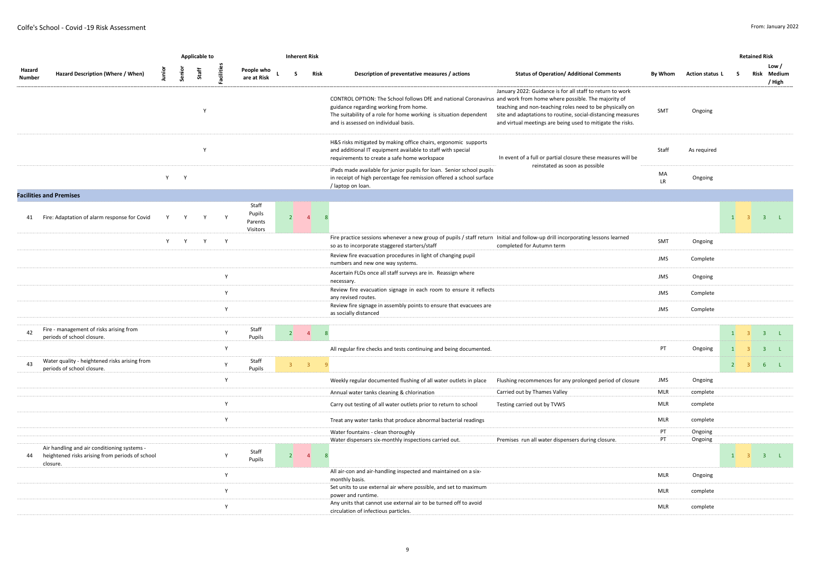|                  |                                                                                                            |              |              | Applicable to |              |                                        | <b>Inherent Risk</b> |                         |                                                                                                                                                                                                                                                                                                                                                                                                                                                                                                                                |                 |                 |               | <b>Retained Risk</b>    |                                |
|------------------|------------------------------------------------------------------------------------------------------------|--------------|--------------|---------------|--------------|----------------------------------------|----------------------|-------------------------|--------------------------------------------------------------------------------------------------------------------------------------------------------------------------------------------------------------------------------------------------------------------------------------------------------------------------------------------------------------------------------------------------------------------------------------------------------------------------------------------------------------------------------|-----------------|-----------------|---------------|-------------------------|--------------------------------|
| Hazard<br>Number | Hazard Description (Where / When)                                                                          | nia<br>E     | Senior       | Staff         | Facilitie    | People who<br>are at Risk              | -S                   | Risk                    | Description of preventative measures / actions<br><b>Status of Operation/ Additional Comments</b>                                                                                                                                                                                                                                                                                                                                                                                                                              | By Whom         | Action status L | s             | Risk                    | Low /<br>Medium<br>/ High      |
|                  |                                                                                                            |              |              | $\mathsf{v}$  |              |                                        |                      |                         | January 2022: Guidance is for all staff to return to work<br>CONTROL OPTION: The School follows DfE and national Coronavirus and work from home where possible. The majority of<br>guidance regarding working from home.<br>teaching and non-teaching roles need to be physically on<br>The suitability of a role for home working is situation dependent<br>site and adaptations to routine, social-distancing measures<br>and is assessed on individual basis.<br>and virtual meetings are being used to mitigate the risks. | SMT             | Ongoing         |               |                         |                                |
|                  |                                                                                                            |              |              | Y             |              |                                        |                      |                         | H&S risks mitigated by making office chairs, ergonomic supports<br>and additional IT equipment available to staff with special<br>In event of a full or partial closure these measures will be<br>requirements to create a safe home workspace                                                                                                                                                                                                                                                                                 | Staff           | As required     |               |                         |                                |
|                  |                                                                                                            | Y            | $\mathsf{Y}$ |               |              |                                        |                      |                         | reinstated as soon as possible<br>iPads made available for junior pupils for loan. Senior school pupils<br>in receipt of high percentage fee remission offered a school surface<br>/ laptop on loan.                                                                                                                                                                                                                                                                                                                           | MA<br><b>LR</b> | Ongoing         |               |                         |                                |
|                  | <b>Facilities and Premises</b>                                                                             |              |              |               |              |                                        |                      |                         |                                                                                                                                                                                                                                                                                                                                                                                                                                                                                                                                |                 |                 |               |                         |                                |
|                  | 41 Fire: Adaptation of alarm response for Covid                                                            | $\mathsf{v}$ | v            |               |              | Staff<br>Pupils<br>Parents<br>Visitors | 2                    | $\overline{4}$          | $\mathbf{R}$                                                                                                                                                                                                                                                                                                                                                                                                                                                                                                                   |                 |                 | $\mathbf{1}$  |                         | 3 <sup>7</sup><br>$\mathbf{L}$ |
|                  |                                                                                                            | Y            | Y            | Y             | Y            |                                        |                      |                         | Fire practice sessions whenever a new group of pupils / staff return Initial and follow-up drill incorporating lessons learned<br>completed for Autumn term<br>so as to incorporate staggered starters/staff                                                                                                                                                                                                                                                                                                                   | SMT             | Ongoing         |               |                         |                                |
|                  |                                                                                                            |              |              |               |              |                                        |                      |                         | Review fire evacuation procedures in light of changing pupil<br>numbers and new one way systems.                                                                                                                                                                                                                                                                                                                                                                                                                               | <b>JMS</b>      | Complete        |               |                         |                                |
|                  |                                                                                                            |              |              |               | $\mathsf{Y}$ |                                        |                      |                         | Ascertain FLOs once all staff surveys are in. Reassign where<br>necessary.                                                                                                                                                                                                                                                                                                                                                                                                                                                     | <b>JMS</b>      | Ongoing         |               |                         |                                |
|                  |                                                                                                            |              |              |               | Y            |                                        |                      |                         | Review fire evacuation signage in each room to ensure it reflects<br>any revised routes.                                                                                                                                                                                                                                                                                                                                                                                                                                       | <b>JMS</b>      | Complete        |               |                         |                                |
|                  |                                                                                                            |              |              |               | Y            |                                        |                      |                         | Review fire signage in assembly points to ensure that evacuees are<br>as socially distanced                                                                                                                                                                                                                                                                                                                                                                                                                                    | <b>JMS</b>      | Complete        |               |                         |                                |
|                  | Fire - management of risks arising from                                                                    |              |              |               |              | Staff                                  |                      |                         |                                                                                                                                                                                                                                                                                                                                                                                                                                                                                                                                |                 |                 |               |                         |                                |
| 42               | periods of school closure.                                                                                 |              |              |               | Y            | Pupils                                 | $2 \quad 4$          | 8                       |                                                                                                                                                                                                                                                                                                                                                                                                                                                                                                                                |                 |                 | 1             | $\overline{\mathbf{3}}$ | 3 L                            |
|                  |                                                                                                            |              |              |               | Y            |                                        |                      |                         | All regular fire checks and tests continuing and being documented.                                                                                                                                                                                                                                                                                                                                                                                                                                                             | PT              | Ongoing         | $\mathbf{1}$  | $\mathbf{R}$            | 3 <sup>2</sup>                 |
| 43               | Water quality - heightened risks arising from<br>periods of school closure.                                |              |              |               | Y            | Staff<br>Pupils                        | 3 <sup>7</sup>       | $\overline{\mathbf{3}}$ | $\alpha$                                                                                                                                                                                                                                                                                                                                                                                                                                                                                                                       |                 |                 | $2^{\circ}$ 3 |                         | 6 <sup>1</sup><br>$\mathbf{L}$ |
|                  |                                                                                                            |              |              |               | $\mathsf Y$  |                                        |                      |                         | Weekly regular documented flushing of all water outlets in place<br>Flushing recommences for any prolonged period of closure                                                                                                                                                                                                                                                                                                                                                                                                   | <b>JMS</b>      | Ongoing         |               |                         |                                |
|                  |                                                                                                            |              |              |               |              |                                        |                      |                         | Carried out by Thames Valley<br>Annual water tanks cleaning & chlorination                                                                                                                                                                                                                                                                                                                                                                                                                                                     | <b>MLR</b>      | complete        |               |                         |                                |
|                  |                                                                                                            |              |              |               | $\mathsf{v}$ |                                        |                      |                         | Carry out testing of all water outlets prior to return to school<br>Testing carried out by TVWS                                                                                                                                                                                                                                                                                                                                                                                                                                | <b>MLR</b>      | complete        |               |                         |                                |
|                  |                                                                                                            |              |              |               | Y            |                                        |                      |                         | Treat any water tanks that produce abnormal bacterial readings                                                                                                                                                                                                                                                                                                                                                                                                                                                                 | <b>MLR</b>      | complete        |               |                         |                                |
|                  |                                                                                                            |              |              |               |              |                                        |                      |                         | Water fountains - clean thoroughly                                                                                                                                                                                                                                                                                                                                                                                                                                                                                             | PT<br>PT        | Ongoing         |               |                         |                                |
| 44               | Air handling and air conditioning systems -<br>heightened risks arising from periods of school<br>closure. |              |              |               | Y            | Staff<br>Pupils                        | $\vert$ 2            | $\sim$ 4                | Water dispensers six-monthly inspections carried out.<br>Premises run all water dispensers during closure.                                                                                                                                                                                                                                                                                                                                                                                                                     |                 | Ongoing         | 1             | $\overline{3}$          | 3 L                            |
|                  |                                                                                                            |              |              |               | Y            |                                        |                      |                         | All air-con and air-handling inspected and maintained on a six-<br>monthly basis.                                                                                                                                                                                                                                                                                                                                                                                                                                              | <b>MLR</b>      | Ongoing         |               |                         |                                |
|                  |                                                                                                            |              |              |               | $\mathsf{Y}$ |                                        |                      |                         | Set units to use external air where possible, and set to maximum<br>power and runtime.                                                                                                                                                                                                                                                                                                                                                                                                                                         | <b>MLR</b>      | complete        |               |                         |                                |
|                  |                                                                                                            |              |              |               | Y            |                                        |                      |                         | Any units that cannot use external air to be turned off to avoid<br>circulation of infectious particles.                                                                                                                                                                                                                                                                                                                                                                                                                       | <b>MLR</b>      | complete        |               |                         |                                |